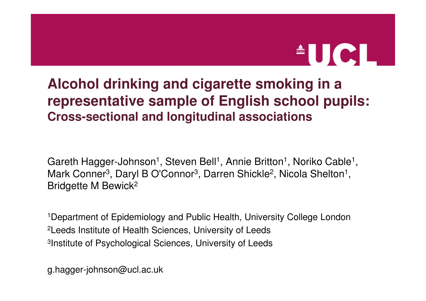# $\triangle$ UCL

#### **Alcohol drinking and cigarette smoking in a representative sample of English school pupils:Cross-sectional and longitudinal associations**

Gareth Hagger-Johnson<sup>1</sup>, Steven Bell<sup>1</sup>, Annie Britton<sup>1</sup>, Noriko Cable<sup>1</sup> Mark Conner<sup>3</sup>, Daryl B O'Connor<sup>3</sup>, Darren Shickle<sup>2</sup>, Nicola Shelton<sup>1</sup> , Bridgette M Bewick<sup>2</sup> ,

1Department of Epidemiology and Public Health, University College London2Leeds Institute of Health Sciences, University of Leeds3Institute of Psychological Sciences, University of Leeds

g.hagger-johnson@ucl.ac.uk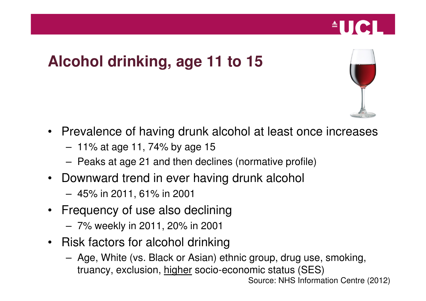### **Alcohol drinking, age 11 to 15**



**AUCL** 

- Prevalence of having drunk alcohol at least once increases
	- 11% at age 11, 74% by age 15
	- Peaks at age 21 and then declines (normative profile)
- • Downward trend in ever having drunk alcohol
	- 45% in 2011, 61% in 2001
- $\bullet$  Frequency of use also declining
	- 7% weekly in 2011, 20% in 2001
- Risk factors for alcohol drinking
	- Age, White (vs. Black or Asian) ethnic group, drug use, smoking, truancy, exclusion, higher socio-economic status (SES)

Source: NHS Information Centre (2012)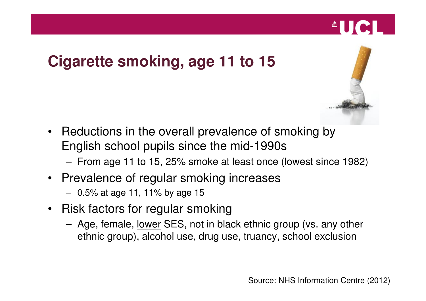



 $^{\circ}$ UCI

- Reductions in the overall prevalence of smoking by English school pupils since the mid-1990s
	- From age 11 to 15, 25% smoke at least once (lowest since 1982)
- Prevalence of regular smoking increases
	- 0.5% at age 11, 11% by age 15
- Risk factors for regular smoking
	- Age, female, <u>lower</u> SES, not in black ethnic group (vs. any other ethnic group), alcohol use, drug use, truancy, school exclusion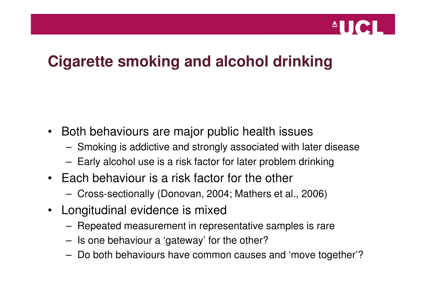

### **Cigarette smoking and alcohol drinking**

- $\bullet$  Both behaviours are major public health issues
	- Smoking is addictive and strongly associated with later disease
	- Early alcohol use is a risk factor for later problem drinking
- Each behaviour is a risk factor for the other
	- Cross-sectionally (Donovan, 2004; Mathers et al., 2006)
- $\bullet$  Longitudinal evidence is mixed
	- Repeated measurement in representative samples is rare
	- Is one behaviour a 'gateway' for the other?
	- Do both behaviours have common causes and 'move together'?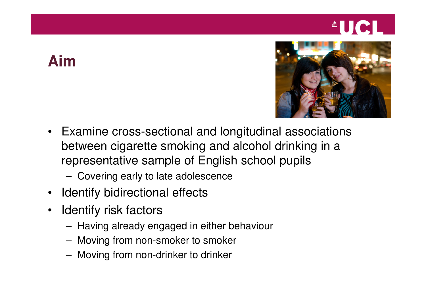# $\triangle$ UCL $\triangle$

### **Aim**



- Examine cross-sectional and longitudinal associations between cigarette smoking and alcohol drinking in a representative sample of English school pupils
	- Covering early to late adolescence
- $\bullet$ Identify bidirectional effects
- $\bullet$  Identify risk factors
	- Having already engaged in either behaviour
	- Moving from non-smoker to smoker
	- Moving from non-drinker to drinker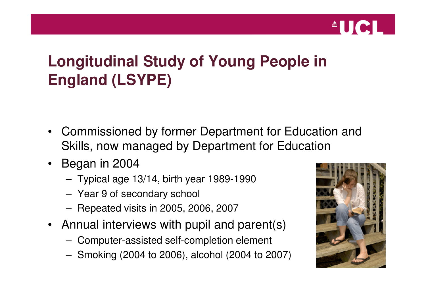

## **Longitudinal Study of Young People in England (LSYPE)**

- $\bullet$  Commissioned by former Department for Education and Skills, now managed by Department for Education
- • Began in 2004
	- Typical age 13/14, birth year 1989-1990
	- Year 9 of secondary school
	- Repeated visits in 2005, 2006, 2007
- Annual interviews with pupil and parent(s)
	- Computer-assisted self-completion element
	- Smoking (2004 to 2006), alcohol (2004 to 2007)

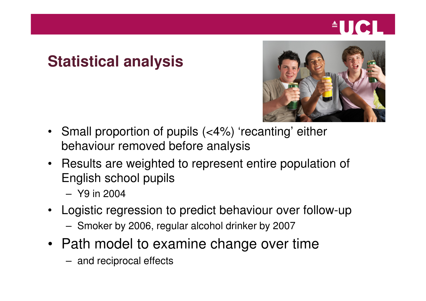# **AUCLI**

### **Statistical analysis**



- • Small proportion of pupils (<4%) 'recanting' either behaviour removed before analysis
- Results are weighted to represent entire population of English school pupils
	- Y9 in 2004
- • Logistic regression to predict behaviour over follow-up
	- Smoker by 2006, regular alcohol drinker by 2007
- Path model to examine change over time
	- and reciprocal effects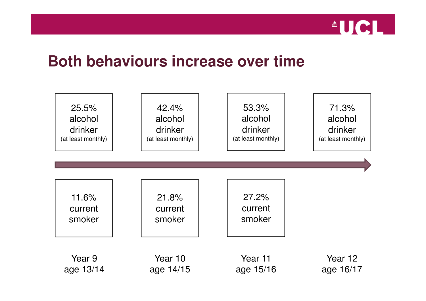

#### **Both behaviours increase over time**

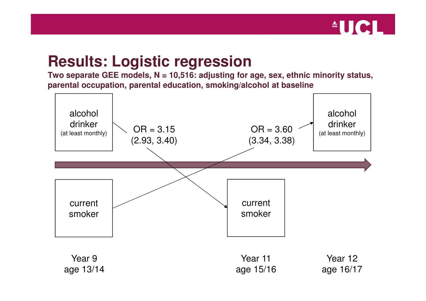

#### **Results: Logistic regression**

 **Two separate GEE models, N = 10,516: adjusting for age, sex, ethnic minority status, parental occupation, parental education, smoking/alcohol at baseline**

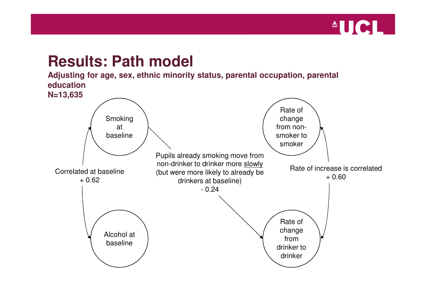

#### **Results: Path model**

 **Adjusting for age, sex, ethnic minority status, parental occupation, parental education**

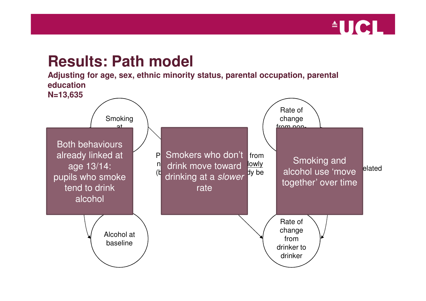

#### **Results: Path model**

 **Adjusting for age, sex, ethnic minority status, parental occupation, parental education**

**N=13,635** 

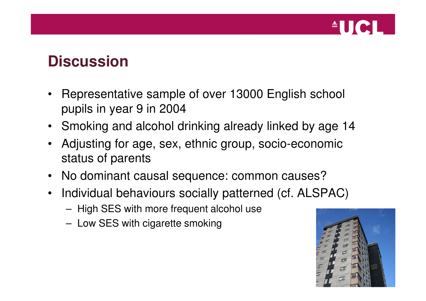

#### **Discussion**

- $\bullet$  Representative sample of over 13000 English school pupils in year 9 in 2004
- Smoking and alcohol drinking already linked by age 14
- $\bullet$  Adjusting for age, sex, ethnic group, socio-economic status of parents
- No dominant causal sequence: common causes?
- $\bullet$  Individual behaviours socially patterned (cf. ALSPAC)
	- High SES with more frequent alcohol use
	- Low SES with cigarette smoking